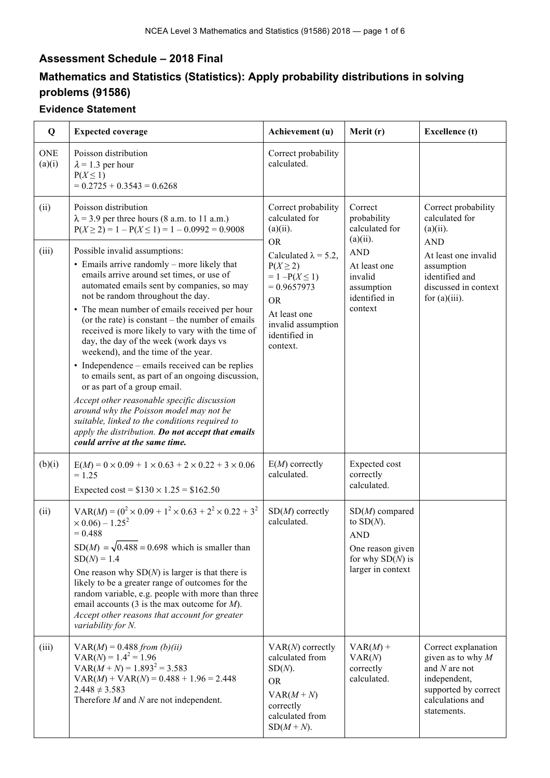## **Assessment Schedule – 2018 Final**

## **Mathematics and Statistics (Statistics): Apply probability distributions in solving problems (91586)**

## **Evidence Statement**

| Q                    | <b>Expected coverage</b>                                                                                                                                                                                                                                                                                                                                                                                                                                                                                                                                                                                                                                                                                                                                                                                                            | Achievement (u)                                                                                                                                                                   | Merit (r)                                                                                                     | <b>Excellence</b> (t)                                                                                                                    |
|----------------------|-------------------------------------------------------------------------------------------------------------------------------------------------------------------------------------------------------------------------------------------------------------------------------------------------------------------------------------------------------------------------------------------------------------------------------------------------------------------------------------------------------------------------------------------------------------------------------------------------------------------------------------------------------------------------------------------------------------------------------------------------------------------------------------------------------------------------------------|-----------------------------------------------------------------------------------------------------------------------------------------------------------------------------------|---------------------------------------------------------------------------------------------------------------|------------------------------------------------------------------------------------------------------------------------------------------|
| <b>ONE</b><br>(a)(i) | Poisson distribution<br>$\lambda$ = 1.3 per hour<br>$P(X \leq 1)$<br>$= 0.2725 + 0.3543 = 0.6268$                                                                                                                                                                                                                                                                                                                                                                                                                                                                                                                                                                                                                                                                                                                                   | Correct probability<br>calculated.                                                                                                                                                |                                                                                                               |                                                                                                                                          |
| (ii)                 | Poisson distribution<br>$\lambda$ = 3.9 per three hours (8 a.m. to 11 a.m.)<br>$P(X \ge 2) = 1 - P(X \le 1) = 1 - 0.0992 = 0.9008$                                                                                                                                                                                                                                                                                                                                                                                                                                                                                                                                                                                                                                                                                                  | Correct probability<br>calculated for<br>$(a)(ii)$ .                                                                                                                              | Correct<br>probability<br>calculated for<br>$(a)(ii)$ .                                                       | Correct probability<br>calculated for<br>$(a)(ii)$ .                                                                                     |
| (iii)                | Possible invalid assumptions:<br>• Emails arrive randomly – more likely that<br>emails arrive around set times, or use of<br>automated emails sent by companies, so may<br>not be random throughout the day.<br>• The mean number of emails received per hour<br>(or the rate) is constant $-$ the number of emails<br>received is more likely to vary with the time of<br>day, the day of the week (work days vs<br>weekend), and the time of the year.<br>• Independence – emails received can be replies<br>to emails sent, as part of an ongoing discussion,<br>or as part of a group email.<br>Accept other reasonable specific discussion<br>around why the Poisson model may not be<br>suitable, linked to the conditions required to<br>apply the distribution. Do not accept that emails<br>could arrive at the same time. | <b>OR</b><br>Calculated $\lambda = 5.2$ ,<br>$P(X \geq 2)$<br>$= 1 - P(X \le 1)$<br>$= 0.9657973$<br><b>OR</b><br>At least one<br>invalid assumption<br>identified in<br>context. | <b>AND</b><br>At least one<br>invalid<br>assumption<br>identified in<br>context                               | <b>AND</b><br>At least one invalid<br>assumption<br>identified and<br>discussed in context<br>for $(a)(iii)$ .                           |
| (b)(i)               | $E(M) = 0 \times 0.09 + 1 \times 0.63 + 2 \times 0.22 + 3 \times 0.06$<br>$= 1.25$<br>Expected cost = $$130 \times 1.25 = $162.50$                                                                                                                                                                                                                                                                                                                                                                                                                                                                                                                                                                                                                                                                                                  | $E(M)$ correctly<br>calculated.                                                                                                                                                   | Expected cost<br>correctly<br>calculated.                                                                     |                                                                                                                                          |
| (ii)                 | $VAR(M) = (0^2 \times 0.09 + 1^2 \times 0.63 + 2^2 \times 0.22 + 3^2)$<br>$\times$ 0.06) – 1.25 <sup>2</sup><br>$= 0.488$<br>$SD(M) = \sqrt{0.488} = 0.698$ which is smaller than<br>$SD(N) = 1.4$<br>One reason why $SD(N)$ is larger is that there is<br>likely to be a greater range of outcomes for the<br>random variable, e.g. people with more than three<br>email accounts (3 is the max outcome for $M$ ).<br>Accept other reasons that account for greater<br>variability for N.                                                                                                                                                                                                                                                                                                                                          | $SD(M)$ correctly<br>calculated.                                                                                                                                                  | $SD(M)$ compared<br>to $SD(N)$ .<br><b>AND</b><br>One reason given<br>for why $SD(N)$ is<br>larger in context |                                                                                                                                          |
| (iii)                | $VAR(M) = 0.488 from (b)(ii)$<br>$VAR(N) = 1.4^2 = 1.96$<br>$VAR(M + N) = 1.893^{2} = 3.583$<br>$VAR(M) + VAR(N) = 0.488 + 1.96 = 2.448$<br>$2.448 \neq 3.583$<br>Therefore $M$ and $N$ are not independent.                                                                                                                                                                                                                                                                                                                                                                                                                                                                                                                                                                                                                        | $VAR(N)$ correctly<br>calculated from<br>$SD(N)$ .<br><b>OR</b><br>$VAR(M+N)$<br>correctly<br>calculated from<br>$SD(M+N)$ .                                                      | $VAR(M) +$<br>VAR(N)<br>correctly<br>calculated.                                                              | Correct explanation<br>given as to why $M$<br>and $N$ are not<br>independent,<br>supported by correct<br>calculations and<br>statements. |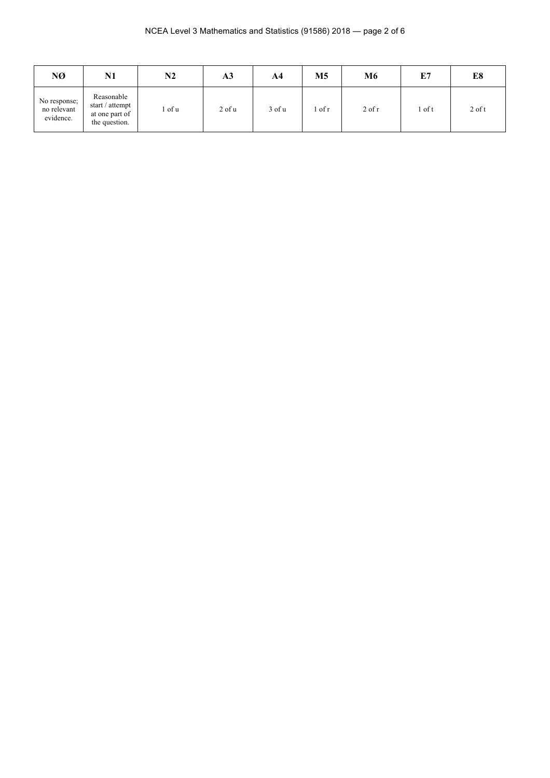| NØ                                       | N1                                                               | N2   | A3         | A4         | M <sub>5</sub> | M6         | E7   | E8       |
|------------------------------------------|------------------------------------------------------------------|------|------------|------------|----------------|------------|------|----------|
| No response;<br>no relevant<br>evidence. | Reasonable<br>start / attempt<br>at one part of<br>the question. | of u | $2$ of $u$ | $3$ of $u$ | of r           | $2$ of $r$ | of t | $2$ of t |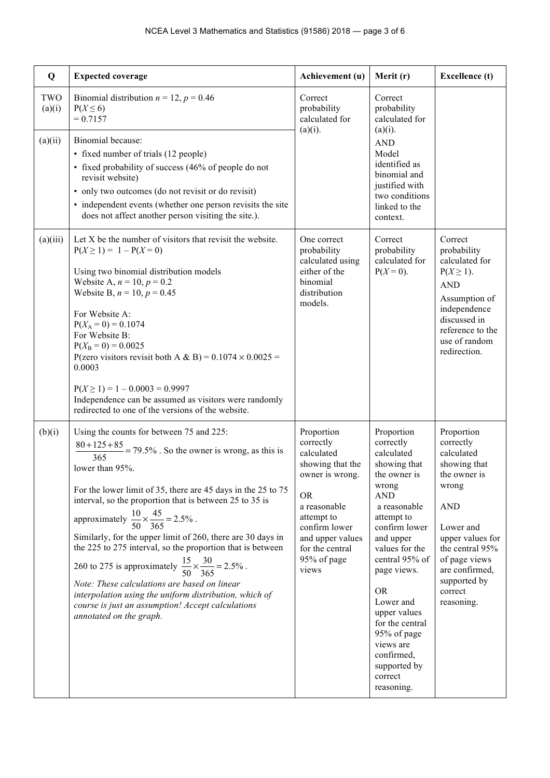| Q             | <b>Expected coverage</b>                                                                                                                                                                                                                                                                                                                                                                                                                                                                                                                                                                                                                                                                                                            | Achievement (u)                                                                                                                                                                                         | Merit (r)                                                                                                                                                                                                                                                                                                                                                   | <b>Excellence</b> (t)                                                                                                                                                                                                        |
|---------------|-------------------------------------------------------------------------------------------------------------------------------------------------------------------------------------------------------------------------------------------------------------------------------------------------------------------------------------------------------------------------------------------------------------------------------------------------------------------------------------------------------------------------------------------------------------------------------------------------------------------------------------------------------------------------------------------------------------------------------------|---------------------------------------------------------------------------------------------------------------------------------------------------------------------------------------------------------|-------------------------------------------------------------------------------------------------------------------------------------------------------------------------------------------------------------------------------------------------------------------------------------------------------------------------------------------------------------|------------------------------------------------------------------------------------------------------------------------------------------------------------------------------------------------------------------------------|
| TWO<br>(a)(i) | Binomial distribution $n = 12$ , $p = 0.46$<br>$P(X \leq 6)$<br>$= 0.7157$                                                                                                                                                                                                                                                                                                                                                                                                                                                                                                                                                                                                                                                          | Correct<br>probability<br>calculated for<br>$(a)(i)$ .                                                                                                                                                  | Correct<br>probability<br>calculated for<br>$(a)(i)$ .                                                                                                                                                                                                                                                                                                      |                                                                                                                                                                                                                              |
| (a)(ii)       | Binomial because:<br>• fixed number of trials (12 people)<br>• fixed probability of success (46% of people do not<br>revisit website)<br>• only two outcomes (do not revisit or do revisit)<br>• independent events (whether one person revisits the site<br>does not affect another person visiting the site.).                                                                                                                                                                                                                                                                                                                                                                                                                    |                                                                                                                                                                                                         | <b>AND</b><br>Model<br>identified as<br>binomial and<br>justified with<br>two conditions<br>linked to the<br>context.                                                                                                                                                                                                                                       |                                                                                                                                                                                                                              |
| (a)(iii)      | Let X be the number of visitors that revisit the website.<br>$P(X \ge 1) = 1 - P(X = 0)$<br>Using two binomial distribution models<br>Website A, $n = 10$ , $p = 0.2$<br>Website B, $n = 10$ , $p = 0.45$<br>For Website A:<br>$P(X_A = 0) = 0.1074$<br>For Website B:<br>$P(X_B = 0) = 0.0025$<br>P(zero visitors revisit both A & B) = $0.1074 \times 0.0025$ =<br>0.0003<br>$P(X \ge 1) = 1 - 0.0003 = 0.9997$<br>Independence can be assumed as visitors were randomly<br>redirected to one of the versions of the website.                                                                                                                                                                                                     | One correct<br>probability<br>calculated using<br>either of the<br>binomial<br>distribution<br>models.                                                                                                  | Correct<br>probability<br>calculated for<br>$P(X = 0)$ .                                                                                                                                                                                                                                                                                                    | Correct<br>probability<br>calculated for<br>$P(X \geq 1)$ .<br><b>AND</b><br>Assumption of<br>independence<br>discussed in<br>reference to the<br>use of random<br>redirection.                                              |
| (b)(i)        | Using the counts for between 75 and 225:<br>$\frac{80+125+85}{365}$ = 79.5%. So the owner is wrong, as this is<br>lower than 95%.<br>For the lower limit of 35, there are 45 days in the 25 to 75<br>interval, so the proportion that is between 25 to 35 is<br>approximately $\frac{10}{50} \times \frac{45}{365} = 2.5\%$ .<br>Similarly, for the upper limit of 260, there are 30 days in<br>the 225 to 275 interval, so the proportion that is between<br>260 to 275 is approximately $\frac{15}{50} \times \frac{30}{365} = 2.5\%$ .<br>Note: These calculations are based on linear<br>interpolation using the uniform distribution, which of<br>course is just an assumption! Accept calculations<br>annotated on the graph. | Proportion<br>correctly<br>calculated<br>showing that the<br>owner is wrong.<br><b>OR</b><br>a reasonable<br>attempt to<br>confirm lower<br>and upper values<br>for the central<br>95% of page<br>views | Proportion<br>correctly<br>calculated<br>showing that<br>the owner is<br>wrong<br><b>AND</b><br>a reasonable<br>attempt to<br>confirm lower<br>and upper<br>values for the<br>central 95% of<br>page views.<br><b>OR</b><br>Lower and<br>upper values<br>for the central<br>95% of page<br>views are<br>confirmed,<br>supported by<br>correct<br>reasoning. | Proportion<br>correctly<br>calculated<br>showing that<br>the owner is<br>wrong<br><b>AND</b><br>Lower and<br>upper values for<br>the central 95%<br>of page views<br>are confirmed,<br>supported by<br>correct<br>reasoning. |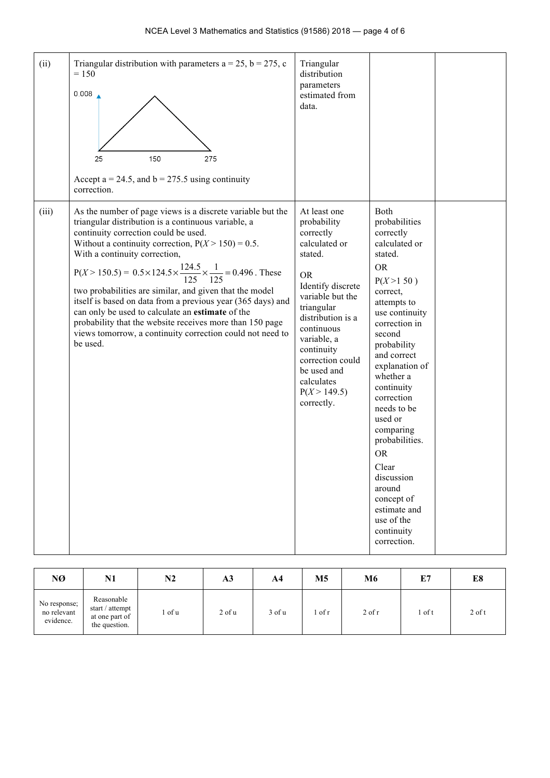| (ii)  | Triangular distribution with parameters $a = 25$ , $b = 275$ , c<br>$= 150$<br>0.008<br>25<br>150<br>275<br>Accept $a = 24.5$ , and $b = 275.5$ using continuity<br>correction.                                                                                                                                                                                                                                                                                                                                                                                                                                                                                           | Triangular<br>distribution<br>parameters<br>estimated from<br>data.                                                                                                                                                                                                                     |                                                                                                                                                                                                                                                                                                                                                                                                                                              |  |
|-------|---------------------------------------------------------------------------------------------------------------------------------------------------------------------------------------------------------------------------------------------------------------------------------------------------------------------------------------------------------------------------------------------------------------------------------------------------------------------------------------------------------------------------------------------------------------------------------------------------------------------------------------------------------------------------|-----------------------------------------------------------------------------------------------------------------------------------------------------------------------------------------------------------------------------------------------------------------------------------------|----------------------------------------------------------------------------------------------------------------------------------------------------------------------------------------------------------------------------------------------------------------------------------------------------------------------------------------------------------------------------------------------------------------------------------------------|--|
| (iii) | As the number of page views is a discrete variable but the<br>triangular distribution is a continuous variable, a<br>continuity correction could be used.<br>Without a continuity correction, $P(X > 150) = 0.5$ .<br>With a continuity correction,<br>$P(X > 150.5) = 0.5 \times 124.5 \times \frac{124.5}{125} \times \frac{1}{125} = 0.496$ . These<br>two probabilities are similar, and given that the model<br>itself is based on data from a previous year (365 days) and<br>can only be used to calculate an estimate of the<br>probability that the website receives more than 150 page<br>views tomorrow, a continuity correction could not need to<br>be used. | At least one<br>probability<br>correctly<br>calculated or<br>stated.<br><b>OR</b><br>Identify discrete<br>variable but the<br>triangular<br>distribution is a<br>continuous<br>variable, a<br>continuity<br>correction could<br>be used and<br>calculates<br>P(X > 149.5)<br>correctly. | Both<br>probabilities<br>correctly<br>calculated or<br>stated.<br><b>OR</b><br>$P(X>1\,50)$<br>correct,<br>attempts to<br>use continuity<br>correction in<br>second<br>probability<br>and correct<br>explanation of<br>whether a<br>continuity<br>correction<br>needs to be<br>used or<br>comparing<br>probabilities.<br><b>OR</b><br>Clear<br>discussion<br>around<br>concept of<br>estimate and<br>use of the<br>continuity<br>correction. |  |

| NØ                                       | N1                                                               | $\mathbf{N2}$ | A <sub>3</sub> | A <sub>4</sub> | M <sub>5</sub> | M6         | E7     | E8       |
|------------------------------------------|------------------------------------------------------------------|---------------|----------------|----------------|----------------|------------|--------|----------|
| No response;<br>no relevant<br>evidence. | Reasonable<br>start / attempt<br>at one part of<br>the question. | of u          | $2$ of $u$     | 3 of u         | of $r$         | $2$ of $r$ | 1 of t | $2$ of t |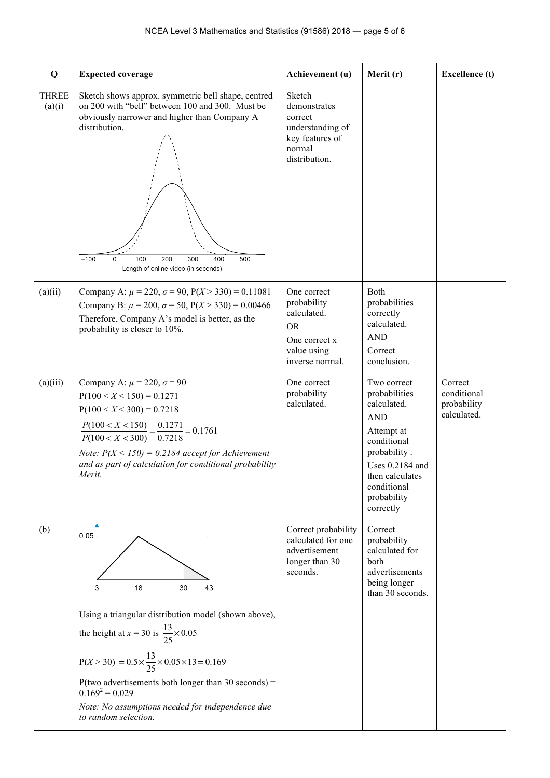| Q                      | <b>Expected coverage</b>                                                                                                                                                                                                                                                                                                                                                     | Achievement (u)                                                                                           | Merit (r)                                                                                                                                                                               | <b>Excellence</b> (t)                                |
|------------------------|------------------------------------------------------------------------------------------------------------------------------------------------------------------------------------------------------------------------------------------------------------------------------------------------------------------------------------------------------------------------------|-----------------------------------------------------------------------------------------------------------|-----------------------------------------------------------------------------------------------------------------------------------------------------------------------------------------|------------------------------------------------------|
| <b>THREE</b><br>(a)(i) | Sketch shows approx. symmetric bell shape, centred<br>on 200 with "bell" between 100 and 300. Must be<br>obviously narrower and higher than Company A<br>distribution.<br>$-100$<br>100<br>200<br>300<br>400<br>500<br>0<br>Length of online video (in seconds)                                                                                                              | Sketch<br>demonstrates<br>correct<br>understanding of<br>key features of<br>normal<br>distribution.       |                                                                                                                                                                                         |                                                      |
| (a)(ii)                | Company A: $\mu$ = 220, $\sigma$ = 90, P(X > 330) = 0.11081<br>Company B: $\mu$ = 200, $\sigma$ = 50, P(X > 330) = 0.00466<br>Therefore, Company A's model is better, as the<br>probability is closer to 10%.                                                                                                                                                                | One correct<br>probability<br>calculated.<br><b>OR</b><br>One correct x<br>value using<br>inverse normal. | <b>B</b> oth<br>probabilities<br>correctly<br>calculated.<br><b>AND</b><br>Correct<br>conclusion.                                                                                       |                                                      |
| (a)(iii)               | Company A: $\mu$ = 220, $\sigma$ = 90<br>$P(100 < X < 150) = 0.1271$<br>$P(100 < X < 300) = 0.7218$<br>$\frac{P(100 < X < 150)}{P(100 < X < 300)} = \frac{0.1271}{0.7218} = 0.1761$<br>Note: $P(X < 150) = 0.2184$ accept for Achievement<br>and as part of calculation for conditional probability<br>Merit.                                                                | One correct<br>probability<br>calculated.                                                                 | Two correct<br>probabilities<br>calculated.<br><b>AND</b><br>Attempt at<br>conditional<br>probability.<br>Uses 0.2184 and<br>then calculates<br>conditional<br>probability<br>correctly | Correct<br>conditional<br>probability<br>calculated. |
| (b)                    | 0.05<br>18<br>43<br>3<br>30<br>Using a triangular distribution model (shown above),<br>the height at $x = 30$ is $\frac{13}{25} \times 0.05$<br>$P(X > 30) = 0.5 \times \frac{13}{25} \times 0.05 \times 13 = 0.169$<br>P(two advertisements both longer than 30 seconds) =<br>$0.169^2 = 0.029$<br>Note: No assumptions needed for independence due<br>to random selection. | Correct probability<br>calculated for one<br>advertisement<br>longer than 30<br>seconds.                  | Correct<br>probability<br>calculated for<br>both<br>advertisements<br>being longer<br>than 30 seconds.                                                                                  |                                                      |